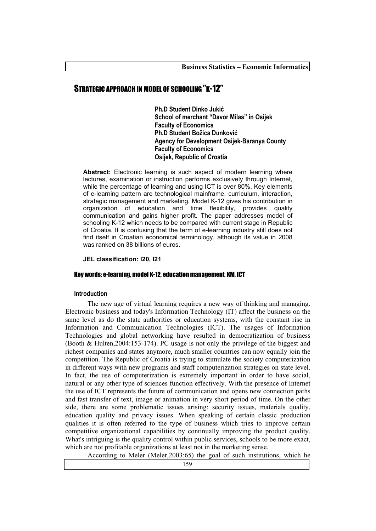# STRATEGIC APPROACH IN MODEL OF SCHOOLING "K-12"

**Ph.D Student Dinko Jukić School of merchant "Davor Milas" in Osijek Faculty of Economics Ph.D Student Božica Dunković Agency for Development Osijek-Baranya County Faculty of Economics Osijek, Republic of Croatia** 

**Abstract:** Electronic learning is such aspect of modern learning where lectures, examination or instruction performs exclusively through Internet, while the percentage of learning and using ICT is over 80%. Key elements of e-learning pattern are technological mainframe, curriculum, interaction, strategic management and marketing. Model K-12 gives his contribution in organization of education and time flexibility, provides quality communication and gains higher profit. The paper addresses model of schooling K-12 which needs to be compared with current stage in Republic of Croatia. It is confusing that the term of e-learning industry still does not find itself in Croatian economical terminology, although its value in 2008 was ranked on 38 billions of euros.

## **JEL classification: I20, I21**

### Key words: e-learning, model K-12, education management, KM, ICT

#### **Introduction**

The new age of virtual learning requires a new way of thinking and managing. Electronic business and today's Information Technology (IT) affect the business on the same level as do the state authorities or education systems, with the constant rise in Information and Communication Technologies (ICT). The usages of Information Technologies and global networking have resulted in democratization of business (Booth & Hulten,2004:153-174). PC usage is not only the privilege of the biggest and richest companies and states anymore, much smaller countries can now equally join the competition. The Republic of Croatia is trying to stimulate the society computerization in different ways with new programs and staff computerization strategies on state level. In fact, the use of computerization is extremely important in order to have social, natural or any other type of sciences function effectively. With the presence of Internet the use of ICT represents the future of communication and opens new connection paths and fast transfer of text, image or animation in very short period of time. On the other side, there are some problematic issues arising: security issues, materials quality, education quality and privacy issues. When speaking of certain classic production qualities it is often referred to the type of business which tries to improve certain competitive organizational capabilities by continually improving the product quality. What's intriguing is the quality control within public services, schools to be more exact, which are not profitable organizations at least not in the marketing sense.

According to Meler (Meler,2003:65) the goal of such institutions, which he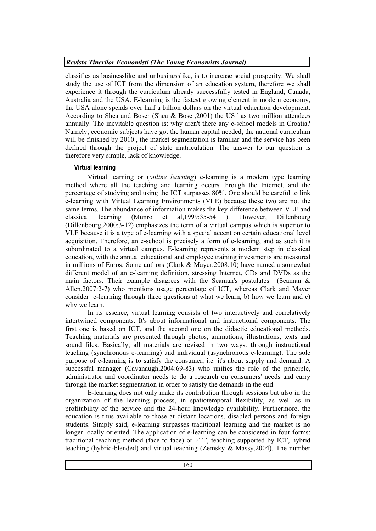### *Revista Tinerilor Economiti (The Young Economists Journal)*

classifies as businesslike and unbusinesslike, is to increase social prosperity. We shall study the use of ICT from the dimension of an education system, therefore we shall experience it through the curriculum already successfully tested in England, Canada, Australia and the USA. E-learning is the fastest growing element in modern economy, the USA alone spends over half a billion dollars on the virtual education development. According to Shea and Boser (Shea & Boser,2001) the US has two million attendees annually. The inevitable question is: why aren't there any e-school models in Croatia? Namely, economic subjects have got the human capital needed, the national curriculum will be finished by 2010., the market segmentation is familiar and the service has been defined through the project of state matriculation. The answer to our question is therefore very simple, lack of knowledge.

# **Virtual learning**

Virtual learning or (*online learning*) e-learning is a modern type learning method where all the teaching and learning occurs through the Internet, and the percentage of studying and using the ICT surpasses 80%. One should be careful to link e-learning with Virtual Learning Environments (VLE) because these two are not the same terms. The abundance of information makes the key difference between VLE and classical learning (Munro et al,1999:35-54 ). However, Dillenbourg (Dillenbourg,2000:3-12) emphasizes the term of a virtual campus which is superior to VLE because it is a type of e-learning with a special accent on certain educational level acquisition. Therefore, an e-school is precisely a form of e-learning, and as such it is subordinated to a virtual campus. E-learning represents a modern step in classical education, with the annual educational and employee training investments are measured in millions of Euros. Some authors (Clark & Mayer,2008:10) have named a somewhat different model of an e-learning definition, stressing Internet, CDs and DVDs as the main factors. Their example disagrees with the Seaman's postulates (Seaman  $\&$ Allen,2007:2-7) who mentions usage percentage of ICT, whereas Clark and Mayer consider e-learning through three questions a) what we learn, b) how we learn and c) why we learn.

In its essence, virtual learning consists of two interactively and correlatively intertwined components. It's about informational and instructional components. The first one is based on ICT, and the second one on the didactic educational methods. Teaching materials are presented through photos, animations, illustrations, texts and sound files. Basically, all materials are revised in two ways: through instructional teaching (synchronous e-learning) and individual (asynchronous e-learning). The sole purpose of e-learning is to satisfy the consumer, i.e. it's about supply and demand. A successful manager (Cavanaugh,2004:69-83) who unifies the role of the principle, administrator and coordinator needs to do a research on consumers' needs and carry through the market segmentation in order to satisfy the demands in the end.

E-learning does not only make its contribution through sessions but also in the organization of the learning process, in spatiotemporal flexibility, as well as in profitability of the service and the 24-hour knowledge availability. Furthermore, the education is thus available to those at distant locations, disabled persons and foreign students. Simply said, e-learning surpasses traditional learning and the market is no longer locally oriented. The application of e-learning can be considered in four forms: traditional teaching method (face to face) or FTF, teaching supported by ICT, hybrid teaching (hybrid-blended) and virtual teaching (Zemsky & Massy,2004). The number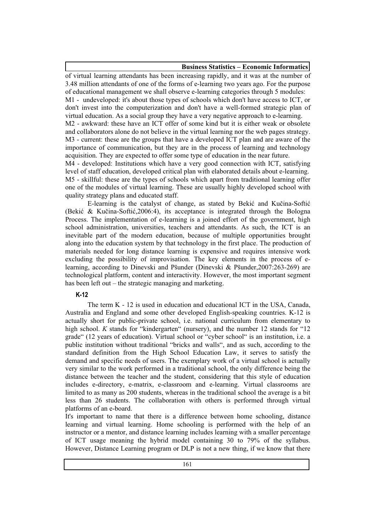**Business Statistics – Economic Informatics**

of virtual learning attendants has been increasing rapidly, and it was at the number of 3.48 million attendants of one of the forms of e-learning two years ago. For the purpose of educational management we shall observe e-learning categories through 5 modules: M1 - undeveloped: it's about those types of schools which don't have access to ICT, or don't invest into the computerization and don't have a well-formed strategic plan of virtual education. As a social group they have a very negative approach to e-learning. M2 - awkward: these have an ICT offer of some kind but it is either weak or obsolete and collaborators alone do not believe in the virtual learning nor the web pages strategy. M3 - current: these are the groups that have a developed ICT plan and are aware of the importance of communication, but they are in the process of learning and technology acquisition. They are expected to offer some type of education in the near future. M4 - developed: Institutions which have a very good connection with ICT, satisfying level of staff education, developed critical plan with elaborated details about e-learning. M5 - skillful: these are the types of schools which apart from traditional learning offer one of the modules of virtual learning. These are usually highly developed school with quality strategy plans and educated staff.

E-learning is the catalyst of change, as stated by Bekić and Kučina-Softić (Bekić & Kučina-Softić, 2006:4), its acceptance is integrated through the Bologna Process. The implementation of e-learning is a joined effort of the government, high school administration, universities, teachers and attendants. As such, the ICT is an inevitable part of the modern education, because of multiple opportunities brought along into the education system by that technology in the first place. The production of materials needed for long distance learning is expensive and requires intensive work excluding the possibility of improvisation. The key elements in the process of elearning, according to Dinevski and Pšunder (Dinevski & Pšunder,2007:263-269) are technological platform, content and interactivity. However, the most important segment has been left out – the strategic managing and marketing.

# **K-12**

The term K - 12 is used in education and educational ICT in the USA, Canada, Australia and England and some other developed English-speaking countries. K-12 is actually short for public-private school, i.e. national curriculum from elementary to high school. *K* stands for "kindergarten" (nursery), and the number 12 stands for "12 grade" (12 years of education). Virtual school or "cyber school" is an institution, i.e. a public institution without traditional "bricks and walls", and as such, according to the standard definition from the High School Education Law, it serves to satisfy the demand and specific needs of users. The exemplary work of a virtual school is actually very similar to the work performed in a traditional school, the only difference being the distance between the teacher and the student, considering that this style of education includes e-directory, e-matrix, e-classroom and e-learning. Virtual classrooms are limited to as many as 200 students, whereas in the traditional school the average is a bit less than 26 students. The collaboration with others is performed through virtual platforms of an e-board.

It's important to name that there is a difference between home schooling, distance learning and virtual learning. Home schooling is performed with the help of an instructor or a mentor, and distance learning includes learning with a smaller percentage of ICT usage meaning the hybrid model containing 30 to 79% of the syllabus. However, Distance Learning program or DLP is not a new thing, if we know that there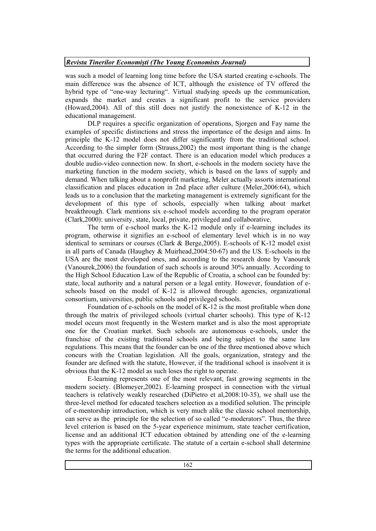### *Revista Tinerilor Economiti (The Young Economists Journal)*

was such a model of learning long time before the USA started creating e-schools. The main difference was the absence of ICT, although the existence of TV offered the hybrid type of "one-way lecturing". Virtual studying speeds up the communication, expands the market and creates a significant profit to the service providers (Howard,2004). All of this still does not justify the nonexistence of K-12 in the educational management.

DLP requires a specific organization of operations, Sjorgen and Fay name the examples of specific distinctions and stress the importance of the design and aims. In principle the K-12 model does not differ significantly from the traditional school. According to the simpler form (Strauss,2002) the most important thing is the change that occurred during the F2F contact. There is an education model which produces a double audio-video connection now. In short, e-schools in the modern society have the marketing function in the modern society, which is based on the laws of supply and demand. When talking about a nonprofit marketing, Meler actually assorts international classification and places education in 2nd place after culture (Meler,2006:64), which leads us to a conclusion that the marketing management is extremely significant for the development of this type of schools, especially when talking about market breakthrough. Clark mentions six e-school models according to the program operator (Clark,2000): university, state, local, private, privileged and collaborative.

The term of e-school marks the K-12 module only if e-learning includes its program, otherwise it signifies an e-school of elementary level which is in no way identical to seminars or courses (Clark & Berge,2005). E-schools of K-12 model exist in all parts of Canada (Haughey & Muirhead,2004:50-67) and the US. E-schools in the USA are the most developed ones, and according to the research done by Vanourek (Vanourek,2006) the foundation of such schools is around 30% annually. According to the High School Education Law of the Republic of Croatia, a school can be founded by: state, local authority and a natural person or a legal entity. However, foundation of eschools based on the model of K-12 is allowed through: agencies, organizational consortium, universities, public schools and privileged schools.

Foundation of e-schools on the model of K-12 is the most profitable when done through the matrix of privileged schools (virtual charter schools). This type of K-12 model occurs most frequently in the Western market and is also the most appropriate one for the Croatian market. Such schools are autonomous e-schools, under the franchise of the existing traditional schools and being subject to the same law regulations. This means that the founder can be one of the three mentioned above which concurs with the Croatian legislation. All the goals, organization, strategy and the founder are defined with the statute, However, if the traditional school is insolvent it is obvious that the K-12 model as such loses the right to operate.

E-learning represents one of the most relevant, fast growing segments in the modern society. (Blomeyer,2002). E-learning prospect in connection with the virtual teachers is relatively weakly researched (DiPietro et al,2008:10-35), we shall use the three-level method for educated teachers selection as a modified solution. The principle of e-mentorship introduction, which is very much alike the classic school mentorship, can serve as the principle for the selection of so called "e-moderators". Thus, the three level criterion is based on the 5-year experience minimum, state teacher certification, license and an additional ICT education obtained by attending one of the e-learning types with the appropriate certificate. The statute of a certain e-school shall determine the terms for the additional education.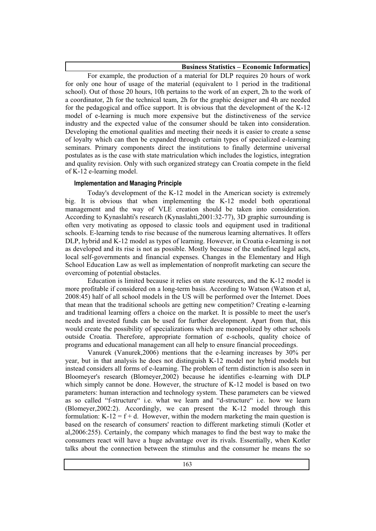**Business Statistics – Economic Informatics**

For example, the production of a material for DLP requires 20 hours of work for only one hour of usage of the material (equivalent to 1 period in the traditional school). Out of those 20 hours, 10h pertains to the work of an expert, 2h to the work of a coordinator, 2h for the technical team, 2h for the graphic designer and 4h are needed for the pedagogical and office support. It is obvious that the development of the K-12 model of e-learning is much more expensive but the distinctiveness of the service industry and the expected value of the consumer should be taken into consideration. Developing the emotional qualities and meeting their needs it is easier to create a sense of loyalty which can then be expanded through certain types of specialized e-learning seminars. Primary components direct the institutions to finally determine universal postulates as is the case with state matriculation which includes the logistics, integration and quality revision. Only with such organized strategy can Croatia compete in the field of K-12 e-learning model.

## **Implementation and Managing Principle**

Today's development of the K-12 model in the American society is extremely big. It is obvious that when implementing the K-12 model both operational management and the way of VLE creation should be taken into consideration. According to Kynaslahti's research (Kynaslahti,2001:32-77), 3D graphic surrounding is often very motivating as opposed to classic tools and equipment used in traditional schools. E-learning tends to rise because of the numerous learning alternatives. It offers DLP, hybrid and K-12 model as types of learning. However, in Croatia e-learning is not as developed and its rise is not as possible. Mostly because of the undefined legal acts, local self-governments and financial expenses. Changes in the Elementary and High School Education Law as well as implementation of nonprofit marketing can secure the overcoming of potential obstacles.

Education is limited because it relies on state resources, and the K-12 model is more profitable if considered on a long-term basis. According to Watson (Watson et al, 2008:45) half of all school models in the US will be performed over the Internet. Does that mean that the traditional schools are getting new competition? Creating e-learning and traditional learning offers a choice on the market. It is possible to meet the user's needs and invested funds can be used for further development. Apart from that, this would create the possibility of specializations which are monopolized by other schools outside Croatia. Therefore, appropriate formation of e-schools, quality choice of programs and educational management can all help to ensure financial proceedings.

Vanurek (Vanurek,2006) mentions that the e-learning increases by 30% per year, but in that analysis he does not distinguish K-12 model nor hybrid models but instead considers all forms of e-learning. The problem of term distinction is also seen in Bloomeyer's research (Blomeyer,2002) because he identifies e-learning with DLP which simply cannot be done. However, the structure of K-12 model is based on two parameters: human interaction and technology system. These parameters can be viewed as so called "f-structure" i.e. what we learn and "d-structure" i.e. how we learn (Blomeyer,2002:2). Accordingly, we can present the K-12 model through this formulation:  $K-12 = f + d$ . However, within the modern marketing the main question is based on the research of consumers' reaction to different marketing stimuli (Kotler et al,2006:255). Certainly, the company which manages to find the best way to make the consumers react will have a huge advantage over its rivals. Essentially, when Kotler talks about the connection between the stimulus and the consumer he means the so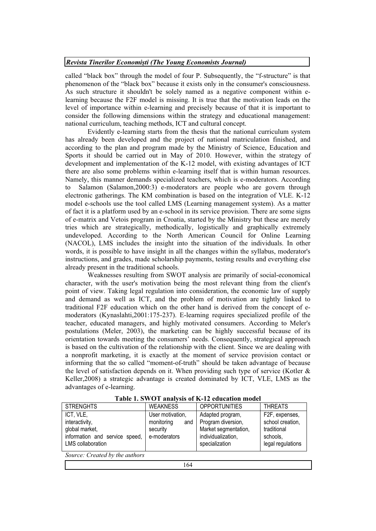### *Revista Tinerilor Economiti (The Young Economists Journal)*

called "black box" through the model of four P. Subsequently, the "f-structure" is that phenomenon of the "black box" because it exists only in the consumer's consciousness. As such structure it shouldn't be solely named as a negative component within elearning because the F2F model is missing. It is true that the motivation leads on the level of importance within e-learning and precisely because of that it is important to consider the following dimensions within the strategy and educational management: national curriculum, teaching methods, ICT and cultural concept.

Evidently e-learning starts from the thesis that the national curriculum system has already been developed and the project of national matriculation finished, and according to the plan and program made by the Ministry of Science, Education and Sports it should be carried out in May of 2010. However, within the strategy of development and implementation of the K-12 model, with existing advantages of ICT there are also some problems within e-learning itself that is within human resources. Namely, this manner demands specialized teachers, which is e-moderators. According to Salamon (Salamon,2000:3) e-moderators are people who are govern through electronic gatherings. The KM combination is based on the integration of VLE. K-12 model e-schools use the tool called LMS (Learning management system). As a matter of fact it is a platform used by an e-school in its service provision. There are some signs of e-matrix and Vetois program in Croatia, started by the Ministry but these are merely tries which are strategically, methodically, logistically and graphically extremely undeveloped. According to the North American Council for Online Learning (NACOL), LMS includes the insight into the situation of the individuals. In other words, it is possible to have insight in all the changes within the syllabus, moderator's instructions, and grades, made scholarship payments, testing results and everything else already present in the traditional schools.

Weaknesses resulting from SWOT analysis are primarily of social-economical character, with the user's motivation being the most relevant thing from the client's point of view. Taking legal regulation into consideration, the economic law of supply and demand as well as ICT, and the problem of motivation are tightly linked to traditional F2F education which on the other hand is derived from the concept of emoderators (Kynaslahti,2001:175-237). E-learning requires specialized profile of the teacher, educated managers, and highly motivated consumers. According to Meler's postulations (Meler, 2003), the marketing can be highly successful because of its orientation towards meeting the consumers' needs. Consequently, strategical approach is based on the cultivation of the relationship with the client. Since we are dealing with a nonprofit marketing, it is exactly at the moment of service provision contact or informing that the so called "moment-of-truth" should be taken advantage of because the level of satisfaction depends on it. When providing such type of service (Kotler & Keller,2008) a strategic advantage is created dominated by ICT, VLE, LMS as the advantages of e-learning.

| <b>STRENGHTS</b>                                                                                            | <b>WEAKNESS</b>                                                   | <b>OPPORTUNITIES</b>                                                                                   | <b>THREATS</b>                                                                     |  |
|-------------------------------------------------------------------------------------------------------------|-------------------------------------------------------------------|--------------------------------------------------------------------------------------------------------|------------------------------------------------------------------------------------|--|
| ICT, VLE,<br>interactivity,<br>global market,<br>information and service speed,<br><b>LMS</b> collaboration | User motivation,<br>monitoring<br>and<br>security<br>e-moderators | Adapted program,<br>Program diversion,<br>Market segmentation,<br>individualization,<br>specialization | F2F, expenses,<br>school creation,<br>traditional<br>schools,<br>legal regulations |  |
| Source: Created by the authors                                                                              |                                                                   |                                                                                                        |                                                                                    |  |

**Table 1. SWOT analysis of K-12 education model**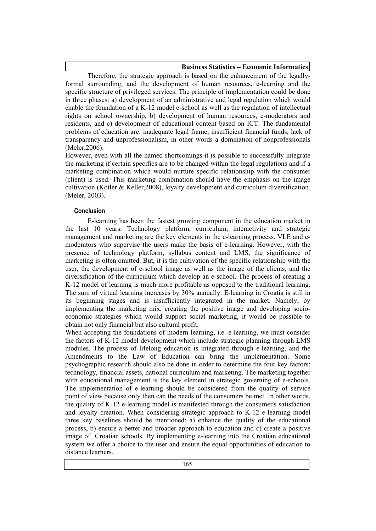**Business Statistics – Economic Informatics**

Therefore, the strategic approach is based on the enhancement of the legallyformal surrounding, and the development of human resources, e-learning and the specific structure of privileged services. The principle of implementation could be done in three phases: a) development of an administrative and legal regulation which would enable the foundation of a K-12 model e-school as well as the regulation of intellectual rights on school ownership, b) development of human resources, e-moderators and residents, and c) development of educational content based on ICT. The fundamental problems of education are: inadequate legal frame, insufficient financial funds, lack of transparency and unprofessionalism, in other words a domination of nonprofessionals (Meler,2006).

However, even with all the named shortcomings it is possible to successfully integrate the marketing if certain specifics are to be changed within the legal regulations and if a marketing combination which would nurture specific relationship with the consumer (client) is used. This marketing combination should have the emphasis on the image cultivation (Kotler & Keller,2008), loyalty development and curriculum diversification. (Meler, 2003).

## **Conclusion**

E-learning has been the fastest growing component in the education market in the last 10 years. Technology platform, curriculum, interactivity and strategic management and marketing are the key elements in the e-learning process. VLE and emoderators who supervise the users make the basis of e-learning. However, with the presence of technology platform, syllabus content and LMS, the significance of marketing is often omitted. But, it is the cultivation of the specific relationship with the user, the development of e-school image as well as the image of the clients, and the diversification of the curriculum which develop an e-school. The process of creating a K-12 model of learning is much more profitable as opposed to the traditional learning. The sum of virtual learning increases by 30% annually. E-learning in Croatia is still in its beginning stages and is insufficiently integrated in the market. Namely, by implementing the marketing mix, creating the positive image and developing socioeconomic strategies which would support social marketing, it would be possible to obtain not only financial but also cultural profit.

When accepting the foundations of modern learning, i.e. e-learning, we must consider the factors of K-12 model development which include strategic planning through LMS modules. The process of lifelong education is integrated through e-learning, and the Amendments to the Law of Education can bring the implementation. Some psychographic research should also be done in order to determine the four key factors: technology, financial assets, national curriculum and marketing. The marketing together with educational management is the key element in strategic governing of e-schools. The implementation of e-learning should be considered from the quality of service point of view because only then can the needs of the consumers be met. In other words, the quality of K-12 e-learning model is manifested through the consumer's satisfaction and loyalty creation. When considering strategic approach to K-12 e-learning model three key baselines should be mentioned: a) enhance the quality of the educational process, b) ensure a better and broader approach to education and c) create a positive image of Croatian schools. By implementing e-learning into the Croatian educational system we offer a choice to the user and ensure the equal opportunities of education to distance learners.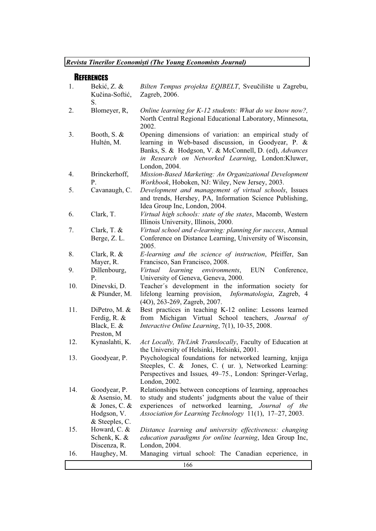# **REFERENCES**

| 1.  | Bekić, Z. &<br>Kučina-Softić,<br>S.                                                 | Bilten Tempus projekta EQIBELT, Sveučilište u Zagrebu,<br>Zagreb, 2006.                                                                                                                                                                       |
|-----|-------------------------------------------------------------------------------------|-----------------------------------------------------------------------------------------------------------------------------------------------------------------------------------------------------------------------------------------------|
| 2.  | Blomeyer, R,                                                                        | Online learning for K-12 students: What do we know now?,<br>North Central Regional Educational Laboratory, Minnesota,<br>2002.                                                                                                                |
| 3.  | Booth, S. $&$<br>Hultén, M.                                                         | Opening dimensions of variation: an empirical study of<br>learning in Web-based discussion, in Goodyear, P. &<br>Banks, S. & Hodgson, V. & McConnell, D. (ed), Advances<br>in Research on Networked Learning, London:Kluwer,<br>London, 2004. |
| 4.  | Brinckerhoff,<br>P.                                                                 | Mission-Based Marketing: An Organizational Development<br>Workbook, Hoboken, NJ: Wiley, New Jersey, 2003.                                                                                                                                     |
| 5.  | Cavanaugh, C.                                                                       | Development and management of virtual schools, Issues<br>and trends, Hershey, PA, Information Science Publishing,<br>Idea Group Inc, London, 2004.                                                                                            |
| 6.  | Clark, T.                                                                           | Virtual high schools: state of the states, Macomb, Western<br>Illinois University, Illinois, 2000.                                                                                                                                            |
| 7.  | Clark, T. $&$<br>Berge, Z.L.                                                        | Virtual school and e-learning: planning for success, Annual<br>Conference on Distance Learning, University of Wisconsin,<br>2005.                                                                                                             |
| 8.  | Clark, R. $&$<br>Mayer, R.                                                          | E-learning and the science of instruction, Pfeiffer, San<br>Francisco, San Francisco, 2008.                                                                                                                                                   |
| 9.  | Dillenbourg,<br>Ρ.                                                                  | learning environments,<br>Virtual<br><b>EUN</b><br>Conference,<br>University of Geneva, Geneva, 2000.                                                                                                                                         |
| 10. | Dinevski, D.<br>& Pšunder, M.                                                       | Teacher's development in the information society for<br>lifelong learning provision,<br>Informatologia, Zagreb, 4<br>(4O), 263-269, Zagreb, 2007.                                                                                             |
| 11. | DiPetro, M. &<br>Ferdig, R. &<br>Black, E. &<br>Preston, M                          | Best practices in teaching K-12 online: Lessons learned<br>from Michigan Virtual School teachers, Journal of<br>Interactive Online Learning, 7(1), 10-35, 2008.                                                                               |
| 12. | Kynaslahti, K.                                                                      | Act Locally, Th/Link Translocally, Faculty of Education at<br>the University of Helsinki, Helsinki, 2001.                                                                                                                                     |
| 13. | Goodyear, P.                                                                        | Psychological foundations for networked learning, knjiga<br>Steeples, C. & Jones, C. (ur.), Networked Learning:<br>Perspectives and Issues, 49–75., London: Springer-Verlag,<br>London, 2002.                                                 |
| 14. | Goodyear, P.<br>& Asensio, M.<br>$&$ Jones, C. $&$<br>Hodgson, V.<br>& Steeples, C. | Relationships between conceptions of learning, approaches<br>to study and students' judgments about the value of their<br>of networked learning, Journal of the<br>experiences<br>Association for Learning Technology 11(1), 17-27, 2003.     |
| 15. | Howard, C. &<br>Schenk, K. &<br>Discenza, R.                                        | Distance learning and university effectiveness: changing<br>education paradigms for online learning, Idea Group Inc,<br>London, 2004.                                                                                                         |
| 16. | Haughey, M.                                                                         | Managing virtual school: The Canadian ecperience, in                                                                                                                                                                                          |
|     |                                                                                     | 166                                                                                                                                                                                                                                           |